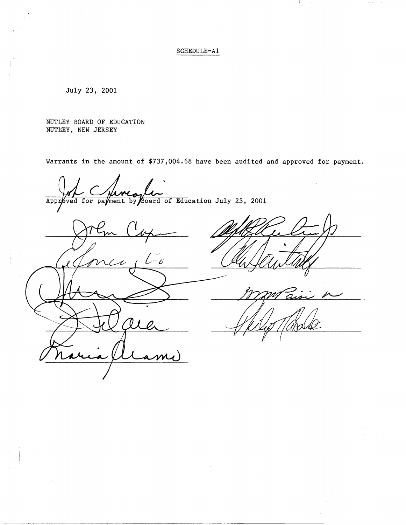# SCHEDULE-Al

July 23, 2001

NUTLEY BOARD OF EDUCATION NUTEEY, NEW JERSEY

Warrants in the amount of \$737,004.68 have been audited and approved for payment.

--· - ----------·-----------

Approved for payment by Board of Education July 23, 2001

 $\mathcal O$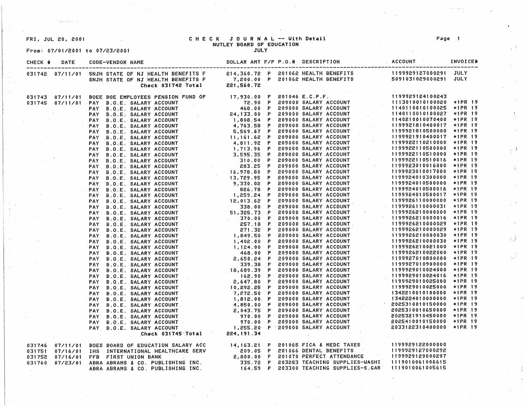# From: 07/01/2001 to 07/23/2001

# FRI, JUL 20, 2001 C H E C K JOU R ~AL -- With Detail Page NUTLEY BOARD OF EDUCATION

| CHECK # | DATE | <b>CODE-VENDOR NAME</b>                                                                                                                                                                                                              |  | DOLLAR AMT F/P P.O.# DESCRIPTION ACCOUNT | INVOICE# |
|---------|------|--------------------------------------------------------------------------------------------------------------------------------------------------------------------------------------------------------------------------------------|--|------------------------------------------|----------|
|         |      | 031742 07/11/01 SNJH STATE OF NJ HEALTH BENEFITS F        214,360.72 P 201062 HEALTH BENEFITS              1199929127000291 JULY<br>SNJH STATE OF NJ HEALTH BENEFITS F        7,200.00 P 201062 HEALTH BENEFITS                      |  |                                          |          |
|         |      |                                                                                                                                                                                                                                      |  |                                          |          |
|         |      |                                                                                                                                                                                                                                      |  |                                          |          |
|         |      |                                                                                                                                                                                                                                      |  |                                          |          |
|         |      |                                                                                                                                                                                                                                      |  |                                          |          |
|         |      |                                                                                                                                                                                                                                      |  |                                          |          |
|         |      |                                                                                                                                                                                                                                      |  |                                          |          |
|         |      |                                                                                                                                                                                                                                      |  |                                          |          |
|         |      |                                                                                                                                                                                                                                      |  |                                          |          |
|         |      |                                                                                                                                                                                                                                      |  |                                          |          |
|         |      |                                                                                                                                                                                                                                      |  |                                          |          |
|         |      |                                                                                                                                                                                                                                      |  |                                          |          |
|         |      |                                                                                                                                                                                                                                      |  |                                          |          |
|         |      |                                                                                                                                                                                                                                      |  |                                          |          |
|         |      |                                                                                                                                                                                                                                      |  |                                          |          |
|         |      |                                                                                                                                                                                                                                      |  |                                          |          |
|         |      |                                                                                                                                                                                                                                      |  |                                          |          |
|         |      |                                                                                                                                                                                                                                      |  |                                          |          |
|         |      |                                                                                                                                                                                                                                      |  |                                          |          |
|         |      |                                                                                                                                                                                                                                      |  |                                          |          |
|         |      |                                                                                                                                                                                                                                      |  |                                          |          |
|         |      |                                                                                                                                                                                                                                      |  |                                          |          |
|         |      |                                                                                                                                                                                                                                      |  |                                          |          |
|         |      |                                                                                                                                                                                                                                      |  |                                          |          |
|         |      |                                                                                                                                                                                                                                      |  |                                          |          |
|         |      |                                                                                                                                                                                                                                      |  |                                          |          |
|         |      |                                                                                                                                                                                                                                      |  |                                          |          |
|         |      |                                                                                                                                                                                                                                      |  |                                          |          |
|         |      |                                                                                                                                                                                                                                      |  |                                          |          |
|         |      |                                                                                                                                                                                                                                      |  |                                          |          |
|         |      |                                                                                                                                                                                                                                      |  |                                          |          |
|         |      |                                                                                                                                                                                                                                      |  |                                          |          |
|         |      |                                                                                                                                                                                                                                      |  |                                          |          |
|         |      |                                                                                                                                                                                                                                      |  |                                          |          |
|         |      |                                                                                                                                                                                                                                      |  |                                          |          |
|         |      |                                                                                                                                                                                                                                      |  |                                          |          |
|         |      |                                                                                                                                                                                                                                      |  |                                          |          |
|         |      |                                                                                                                                                                                                                                      |  |                                          |          |
|         |      |                                                                                                                                                                                                                                      |  |                                          |          |
|         |      |                                                                                                                                                                                                                                      |  |                                          |          |
|         |      |                                                                                                                                                                                                                                      |  |                                          |          |
|         |      |                                                                                                                                                                                                                                      |  |                                          |          |
|         |      |                                                                                                                                                                                                                                      |  |                                          |          |
|         |      |                                                                                                                                                                                                                                      |  |                                          |          |
|         |      | 57/12 07:17 07:17 07:22 07:23 07:33 07:34 07:23 07:34 07:23 07:34 07:34 07:34 07:34 07:34 07:34 07:34 07:34 07:34 07:34 07:34 07:34 07:34 07:34 07:34 07:34 07:34 07:34 07:34 07:34 07:34 07:34 07:34 07:34 07:34 07:34 07:34        |  |                                          |          |
|         |      | 031746 07/11/01 BOES BOARD OF EDUCATION SALARY ACC (14,163.21 P 201065 FICA & MEDC TAXES (1199929122000000)<br>031751 07/16/01 IHS INTERNATIONAL HEALTHCARE SERV (209.05 P 201066 DENTAL BENEFITS (1199929127000292)<br>031752 07/16 |  |                                          |          |
|         |      |                                                                                                                                                                                                                                      |  |                                          |          |
|         |      |                                                                                                                                                                                                                                      |  |                                          |          |
|         |      |                                                                                                                                                                                                                                      |  |                                          |          |
|         |      |                                                                                                                                                                                                                                      |  |                                          |          |
|         |      |                                                                                                                                                                                                                                      |  |                                          |          |

 $\sim 1$ 

 $\mathcal{V}$ 

 $\mathcal{L}\mathcal{J}$ 

 $\lesssim$   $\frac{3}{2}$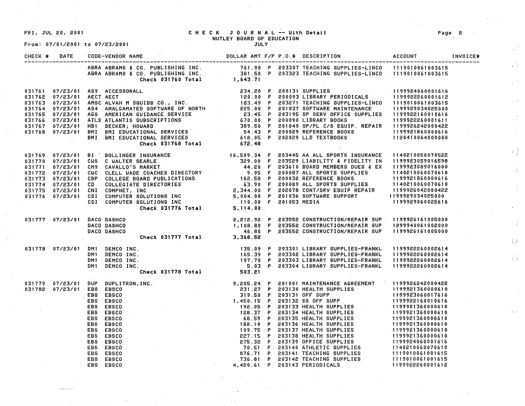From: 07/01/2001 to 07/23/2001

EBS EBSCO

#### FRI, JUL 20, 2001 CHECK JOURNAL -- With **Detail**  NUTLEY **BOARD** OF EDUCATION

| CHECK # | DATE                        | <b>CODE-VENDOR NAME</b>                                                                                                                                                                                                                                                        |  |  | TNVOICE# |
|---------|-----------------------------|--------------------------------------------------------------------------------------------------------------------------------------------------------------------------------------------------------------------------------------------------------------------------------|--|--|----------|
|         |                             | ABRA ABRAMS & CO. PUBLISHING INC. T61.90 P 203307 TEACHING SUPPLIES-LINCO 1119010061003615<br>ABRA ABRAMS & CO. PUBLISHING INC. 381.50 P 203323 TEACHING SUPPLIES-LINCO 1119010061003615<br>Check 031760 Total 1,643.71                                                        |  |  |          |
|         |                             | 031761 07/23/01 ASP ACCESSORALL<br>031762 07/23/01 AMSC ALVAH M SQUIBB CO., INC.<br>031762 07/23/01 AMSC ALVAH M SQUIBB CO., INC.<br>031764 07/23/01 AMSC ALVAH M SQUIBB CO., INC.<br>031764 07/23/01 AS4 AMALGANNED SOFTWARE OF NORTH                                         |  |  |          |
|         |                             | 31776 17/23/01 BI BOLLINGER INSURANCE 16,509.34 F 203445 AA ALL SPORTS INSURANCE 1140210050070522<br>329.00 F 203529 LIABILITY & FIDELITY IN 1199923059016598<br>329.00 F 203529 LIABILITY & FIDELITY IN 1199923059016598<br>329.00                                            |  |  |          |
|         | 031777 07/23/01 DACO DASHCO | 2,212.92 P 203552 CONSTRUCTION/REPAIR SUP 1199926161005000<br>1,108.80 F 203552 CONSTRUCTION/REPAIR SUP 1299940061002000<br>2,368.52 CONSTRUCTION/REPAIR SUP 1199926161005000<br>DACO DASHCO<br>DACO DASHCO<br>$\alpha$ , $\alpha$ , $\alpha$ , $\alpha$ , $\alpha$ , $\alpha$ |  |  |          |
|         |                             | 07/23/01 DM1 DEMCO INC. (199922260002614<br>DM1 DEMCO INC. (199922260002614 ) DM1 DEMCO INC. (199922260002614<br>DM1 DEMCO INC. (199922260002614 ) DM1 DEMCO INC. (199922260002614 ) DM1 DEMCO INC.<br>DM1 DEMCO INC. (199922260002614                                         |  |  |          |
|         |                             |                                                                                                                                                                                                                                                                                |  |  |          |
|         |                             | 031779 07/23/01 DUP DUPLITRON, INC.<br>031782'07/23/01 EBS EBSCO<br>EBS EBSCO<br>EBS EBSCO<br>EBS EBSCO<br>EBS EBSCO<br>EBS EBSCO<br>EBS EBSCO<br>EBS EBSCO<br>EBS EBSCO<br>EBS EBSCO<br>EBS EBSCO<br>EBS EBSCO<br>EBS EBSCO<br>EBS EBSCO<br>EBS EBSCO<br>EBS                  |  |  |          |

4,420.61 P 203143 PERIODICALS

Page 2

*Z.)* 

 $\langle \rangle$  ).

 $\chi_{\rm{max}}$ 

Ĵ.

 $\frac{1}{\sqrt{2}}$ 

 $\frac{1}{4}$  .

小读

 $\frac{1}{2}$  $\mathcal{A}$ 

 $\left\langle \rho_{\rm c} \right\rangle$ 

 $\frac{1}{2}$  ,  $\frac{1}{2}$ 

 $\frac{m}{2}$ 

1199922260001612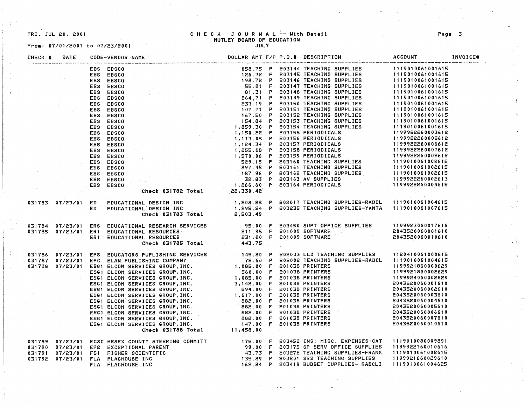From: 07/01/2001 to 07/23/2001

#### FRI, JUL 20, 2001 C H E C K JOURNAL -- With Detail Page 3 NUTLEY **BOARD** OF EDUCArION

| CHECK # | DATE                |      | CODE-VENDOR NAME                                                                                                                                                                                                                                                                                                                                                                                                 |  | DOLLAR AMT F/P P.O.# DESCRIPTION | ACCOUNT | INVOICE# |
|---------|---------------------|------|------------------------------------------------------------------------------------------------------------------------------------------------------------------------------------------------------------------------------------------------------------------------------------------------------------------------------------------------------------------------------------------------------------------|--|----------------------------------|---------|----------|
|         |                     |      | ${\small \begin{tabular}{ c c c c c c c c c c c c c c c} \hline \textbf{CEDB} & \textbf{EBS CGO} & \textbf{GBS T} & \textbf{GBS T} & \textbf{GBS T} & \textbf{GBS T} & \textbf{GBS T} & \textbf{GBS T} & \textbf{GBS T} & \textbf{GBS T} & \textbf{GBS T} & \textbf{GBS T} & \textbf{GBS T} & \textbf{GBS T} & \textbf{GBS T} & \textbf{GBS T} & \textbf{GBS T} & \textbf{GBS T} & \textbf{GBS T} & \textbf{GBS$ |  |                                  |         |          |
|         |                     |      |                                                                                                                                                                                                                                                                                                                                                                                                                  |  |                                  |         |          |
|         |                     |      |                                                                                                                                                                                                                                                                                                                                                                                                                  |  |                                  |         |          |
|         |                     |      |                                                                                                                                                                                                                                                                                                                                                                                                                  |  |                                  |         |          |
|         |                     |      |                                                                                                                                                                                                                                                                                                                                                                                                                  |  |                                  |         |          |
|         |                     |      |                                                                                                                                                                                                                                                                                                                                                                                                                  |  |                                  |         |          |
|         |                     |      |                                                                                                                                                                                                                                                                                                                                                                                                                  |  |                                  |         |          |
|         |                     |      |                                                                                                                                                                                                                                                                                                                                                                                                                  |  |                                  |         |          |
|         |                     |      |                                                                                                                                                                                                                                                                                                                                                                                                                  |  |                                  |         |          |
|         |                     |      |                                                                                                                                                                                                                                                                                                                                                                                                                  |  |                                  |         |          |
|         |                     |      |                                                                                                                                                                                                                                                                                                                                                                                                                  |  |                                  |         |          |
|         |                     |      |                                                                                                                                                                                                                                                                                                                                                                                                                  |  |                                  |         |          |
|         |                     |      |                                                                                                                                                                                                                                                                                                                                                                                                                  |  |                                  |         |          |
|         |                     |      |                                                                                                                                                                                                                                                                                                                                                                                                                  |  |                                  |         |          |
|         |                     |      |                                                                                                                                                                                                                                                                                                                                                                                                                  |  |                                  |         |          |
|         |                     |      |                                                                                                                                                                                                                                                                                                                                                                                                                  |  |                                  |         |          |
|         |                     |      |                                                                                                                                                                                                                                                                                                                                                                                                                  |  |                                  |         |          |
|         |                     |      |                                                                                                                                                                                                                                                                                                                                                                                                                  |  |                                  |         |          |
|         |                     |      |                                                                                                                                                                                                                                                                                                                                                                                                                  |  |                                  |         |          |
|         |                     |      |                                                                                                                                                                                                                                                                                                                                                                                                                  |  |                                  |         |          |
|         |                     |      |                                                                                                                                                                                                                                                                                                                                                                                                                  |  |                                  |         |          |
|         |                     |      |                                                                                                                                                                                                                                                                                                                                                                                                                  |  |                                  |         |          |
|         |                     |      |                                                                                                                                                                                                                                                                                                                                                                                                                  |  |                                  |         |          |
|         | 031783  07/23/01 ED |      |                                                                                                                                                                                                                                                                                                                                                                                                                  |  |                                  |         |          |
|         |                     | ED - |                                                                                                                                                                                                                                                                                                                                                                                                                  |  |                                  |         |          |
|         |                     |      | EDUCATIONAL DESIGN INC         1,208.25 P 202017 TEACHING SUPPLIES-RADCL  1119010061004615<br>EDUCATIONAL DESIGN INC        1,295.24 P 203235 TEACHING SUPPLIES-YANTA  1119010061007615<br>Check 031783 Total      2,503.49                                                                                                                                                                                      |  |                                  |         |          |
|         |                     |      | 031784 07/23/01 ERS EDUCATIONAL RESEARCH SERVICES (95.00 F 203450 SUPT OFFICE SUPPLIES (199923060017616)<br>031785 07/23/01 ER1 EDUCATIONAL RESOURCES (211.95 F 201009 SOFTWARE (2043520060001610<br>ER1 EDUCATIONAL RESOURCES (231.                                                                                                                                                                             |  |                                  |         |          |
|         |                     |      |                                                                                                                                                                                                                                                                                                                                                                                                                  |  |                                  |         |          |
|         |                     |      |                                                                                                                                                                                                                                                                                                                                                                                                                  |  |                                  |         |          |
|         |                     |      |                                                                                                                                                                                                                                                                                                                                                                                                                  |  |                                  |         |          |
|         |                     |      |                                                                                                                                                                                                                                                                                                                                                                                                                  |  |                                  |         |          |
|         |                     |      |                                                                                                                                                                                                                                                                                                                                                                                                                  |  |                                  |         |          |
|         |                     |      |                                                                                                                                                                                                                                                                                                                                                                                                                  |  |                                  |         |          |
|         |                     |      |                                                                                                                                                                                                                                                                                                                                                                                                                  |  |                                  |         |          |
|         |                     |      |                                                                                                                                                                                                                                                                                                                                                                                                                  |  |                                  |         |          |
|         |                     |      |                                                                                                                                                                                                                                                                                                                                                                                                                  |  |                                  |         |          |
|         |                     |      |                                                                                                                                                                                                                                                                                                                                                                                                                  |  |                                  |         |          |
|         |                     |      |                                                                                                                                                                                                                                                                                                                                                                                                                  |  |                                  |         |          |
|         |                     |      |                                                                                                                                                                                                                                                                                                                                                                                                                  |  |                                  |         |          |
|         |                     |      |                                                                                                                                                                                                                                                                                                                                                                                                                  |  |                                  |         |          |
|         |                     |      |                                                                                                                                                                                                                                                                                                                                                                                                                  |  |                                  |         |          |
|         |                     |      |                                                                                                                                                                                                                                                                                                                                                                                                                  |  |                                  |         |          |
|         |                     |      |                                                                                                                                                                                                                                                                                                                                                                                                                  |  |                                  |         |          |
|         |                     |      |                                                                                                                                                                                                                                                                                                                                                                                                                  |  |                                  |         |          |
|         |                     |      | 031786 07/23/01 EPS EDUCATORS PUPLISHING SERVICES 145.80 P 202033 LLD TEACHING SUPPLIES 1120410061000615<br>031787 07/23/01 EPC ELAN PUBLISHING COMPANY<br>031788 07/23/01 EPC ELAN PUBLISHING COMPANY<br>ESGI ELCOM SERVICES GROUP,                                                                                                                                                                             |  |                                  |         |          |
|         |                     |      | 031789 07/23/01 ECSC ESSEX COUNTY STEERING COMMITT (175.00 F 203452 INS. MISC. EXPENSES-CAT (1119010080009891<br>031790 07/23/01 EP2 EXCEPTIONAL PARENT (99.00 F 203175 SP SERV OFFICE SUPPLIES (1199922160010616)<br>031791 07/23/0                                                                                                                                                                             |  |                                  |         |          |
|         |                     |      |                                                                                                                                                                                                                                                                                                                                                                                                                  |  |                                  |         |          |
|         |                     |      |                                                                                                                                                                                                                                                                                                                                                                                                                  |  |                                  |         |          |
|         |                     |      |                                                                                                                                                                                                                                                                                                                                                                                                                  |  |                                  |         |          |
|         |                     |      |                                                                                                                                                                                                                                                                                                                                                                                                                  |  |                                  |         |          |
|         |                     |      |                                                                                                                                                                                                                                                                                                                                                                                                                  |  |                                  |         |          |

ξÜ.

石村

 $\mathcal{L}$ 

 $\frac{1}{2}$ 

 $\chi$  ).

 $\frac{1}{\sqrt{2}}$ 

 $\sqrt{2}$ 

 $\hat{\mathcal{A}}$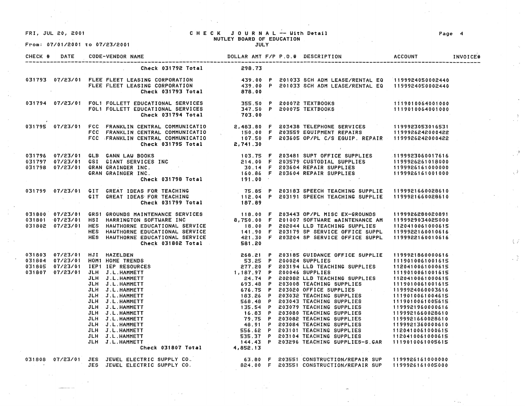FRI, JUL 20, 2001

From: 07/01/2001 to 07/23/2001

### CHECK JOURNAL -- With Detail NUTLEY BOARD OF EDUCATION

JULY

| CHECK # | DATE | <b>CODE-VENDOR NAME</b>                                                                                                                                                                                                                      | DOLLAR AMT F/P P.O.# DESCRIPTION | <b>ACCOUNT</b> | INVOICE# |
|---------|------|----------------------------------------------------------------------------------------------------------------------------------------------------------------------------------------------------------------------------------------------|----------------------------------|----------------|----------|
|         |      | Check 031792 Total                                                                                                                                                                                                                           | 298.73                           |                |          |
|         |      | 031793 07/23/01 FLEE FLEET LEASING CORPORATION 439.00 P 201033 SCH ADM LEASE/RENTAL EQ 1199924050002440<br>FLEE FLEET LEASING CORPORATION 439.00 P 201033 SCH ADM LEASE/RENTAL EQ 1199924050002440<br>Check 031793 Total 878.00              |                                  |                |          |
|         |      | 031794 07/23/01 FOL1 FOLLETT EDUCATIONAL SERVICES = 355.50 P 200072 TEXTBOOKS = 1119010064001000<br>FOL1 FOLLETT EDUCATIONAL SERVICES = 347.50 P 200075 TEXTBOOKS = 1119010064001000<br>Check 031794 Total = 703.00                          |                                  |                |          |
|         |      | 07/23/01 FCC FRANKLIN CENTRAL COMMUNICATIO 2,483.80 F 203438 TELEPHONE SERVICES 1199923053016531<br>FCC FRANKLIN CENTRAL COMMUNICATIO 150.00 F 203559 EQUIPMENT REPAIRS 1199926242000422<br>Check 031795 Total 2,741.30                      |                                  |                |          |
|         |      | 031796 07/23/01 GLB GANN_LAW_BOOKS (1998)<br>031797 07/23/01 GSI GIANT_SERVICES_INC                                     214.00 F 203579 CUSTODIAL_SUPPLIES<br>031798 07/23/01 GRAN_GRAINGER_INC.                                             |                                  |                |          |
|         |      | 031799 07/23/01 GIT GREAT IDEAS FOR TEACHING                     75.85 P 203183 SPEECH TEACHING SUPPLIE  1199921660028610<br>GIT GREAT IDEAS FOR TEACHING                      112.04 P 203191 SPEECH TEACHING SUPPLIE   11999216            |                                  |                |          |
|         |      |                                                                                                                                                                                                                                              |                                  |                |          |
|         |      | 031803 07/23/01 HJJ HAZELDEN<br>031804 07/23/01 HDM RTRENDS<br>031804 07/23/01 HDM RTRENDS<br>031804 07/23/01 HDM RTRENDS<br>031804 07/23/01 HDM RTRENDS<br>031807 07/23/01 IER RESOURCES<br>031807 07/23/01 JLH J.L.HAMMETT<br>32.180 07/23 |                                  |                |          |
|         |      | 031808 07/23/01 JES JEWEL ELECTRIC SUPPLY CO.                 63.80 F 203551 CONSTRUCTION/REPAIR SUP 1199926161000000<br>JES JEWEL ELECTRIC SUPPLY CO.               824.00 F 203551 CONSTRUCTION/REPAIR SUP 1199926161005000                |                                  |                |          |
|         |      |                                                                                                                                                                                                                                              |                                  |                |          |

Page 4

 $\ddot{\zeta}$ 

 $\sqrt{3}$ 

·)

 $\sqrt{2}$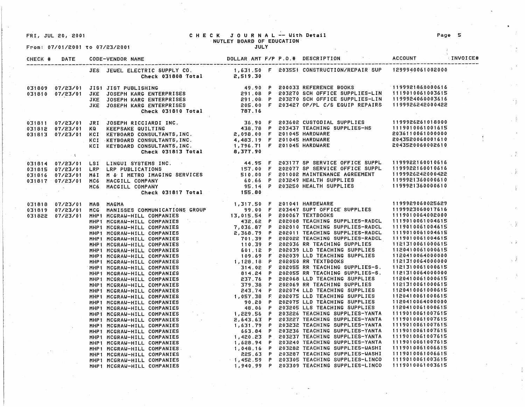FRI, JUL 20, 2001

From: 07/01/2~01 *to* 07/23/2001

MHP1 MCGRAY-HILL COMPANIES MHP1 MCGRAW-HILL COMPANIES  $\sim 5\%$ 

#### CHECK JOURNAL -- With Detail ·NUTLEY BOARD OF EDUCATION JULY

| CHECK # DATE |                                                                                                                                                                                                                                              |  |  | INVOICE# |
|--------------|----------------------------------------------------------------------------------------------------------------------------------------------------------------------------------------------------------------------------------------------|--|--|----------|
|              | JES JEWEL ELECTRIC SUPPLY CO.                  1,631.50 F 203551 CONSTRUCTION/REPAIR SUP   1299940061002000<br>Check 031808 Total            2,519.30                                                                                        |  |  |          |
|              | 031809 07/23/01 JIS1 JIST PUBLISHING (1992) 49.90 P 200033 REFERENCE BOOKS<br>031810 07/23/01 JKE JOSEPH KARG ENTERPRISES (291.08 P 203270 SCH OFFICE SUPPLIES-LIN 1119010061003615<br>JKE JOSEPH KARG ENTERPRISES (291.08 P 203270          |  |  |          |
|              |                                                                                                                                                                                                                                              |  |  |          |
|              |                                                                                                                                                                                                                                              |  |  |          |
|              |                                                                                                                                                                                                                                              |  |  |          |
|              |                                                                                                                                                                                                                                              |  |  |          |
|              |                                                                                                                                                                                                                                              |  |  |          |
|              |                                                                                                                                                                                                                                              |  |  |          |
|              |                                                                                                                                                                                                                                              |  |  |          |
|              |                                                                                                                                                                                                                                              |  |  |          |
|              |                                                                                                                                                                                                                                              |  |  |          |
|              | 031811 07/23/01 JRI JOSEPHRICCIARDINC.<br>031812 07/23/01 KQ KEEPSAKE QUILTING (438.78 P 203437 TEACHING SUPPLIES HS 1199926261018000<br>031813 07/23/01 KCI KEYBOARD CONSULTANTS,INC. 2,098.00 F 201045 HARDWARE 20136110061001615<br>      |  |  |          |
|              |                                                                                                                                                                                                                                              |  |  |          |
|              |                                                                                                                                                                                                                                              |  |  |          |
|              |                                                                                                                                                                                                                                              |  |  |          |
|              |                                                                                                                                                                                                                                              |  |  |          |
|              |                                                                                                                                                                                                                                              |  |  |          |
|              | 031814 07/23/01 LSI LINGUI SYSTEMS INC.<br>031815 07/23/01 LRP LRP PUBLICATIONS (157.00 F 202077 SP SERVICE OFFICE SUPPL 1199922160010616<br>031816 07/23/01 M&I M & I METRO IMAGING SERVICES (169922160010422) STORE F 201002 MAINT         |  |  |          |
|              | 031818 07/23/01 MA8 MAGNA<br>031819 07/23/01 MCG MANISSES COMMUNICATIONS GROUP<br>031822 07/23/01 MCG MANISSES COMMUNICATIONS GROUP<br>031822 07/23/01 MCG MANISSES COMMUNICATIONS GROUP<br>031822 07/23/01 MCG MANISSES (MPILL COMPAN       |  |  |          |
|              |                                                                                                                                                                                                                                              |  |  |          |
|              |                                                                                                                                                                                                                                              |  |  |          |
|              |                                                                                                                                                                                                                                              |  |  |          |
|              |                                                                                                                                                                                                                                              |  |  |          |
|              |                                                                                                                                                                                                                                              |  |  |          |
|              |                                                                                                                                                                                                                                              |  |  |          |
|              |                                                                                                                                                                                                                                              |  |  |          |
|              |                                                                                                                                                                                                                                              |  |  |          |
|              |                                                                                                                                                                                                                                              |  |  |          |
|              |                                                                                                                                                                                                                                              |  |  |          |
|              |                                                                                                                                                                                                                                              |  |  |          |
|              |                                                                                                                                                                                                                                              |  |  |          |
|              | MHPI NGCRAW-HILL COMPANIES<br>MHPI NGCRAW-HILL COMPANIES<br>MHPI NGCRAW-HILL COMPANIES<br>MHPI NGCRAW-HILL COMPANIES<br>MHPI NGCRAW-HILL COMPANIES<br>MHPI NGCRAW-HILL COMPANIES<br>MHPI NGCRAW-HILL COMPANIES<br>MHPI NGCRAW-HILL COMPANIES |  |  |          |
|              |                                                                                                                                                                                                                                              |  |  |          |
|              |                                                                                                                                                                                                                                              |  |  |          |
|              |                                                                                                                                                                                                                                              |  |  |          |
|              |                                                                                                                                                                                                                                              |  |  |          |
|              |                                                                                                                                                                                                                                              |  |  |          |
|              |                                                                                                                                                                                                                                              |  |  |          |
|              |                                                                                                                                                                                                                                              |  |  |          |
|              |                                                                                                                                                                                                                                              |  |  |          |
|              |                                                                                                                                                                                                                                              |  |  |          |
|              |                                                                                                                                                                                                                                              |  |  |          |
|              |                                                                                                                                                                                                                                              |  |  |          |
|              |                                                                                                                                                                                                                                              |  |  |          |
|              |                                                                                                                                                                                                                                              |  |  |          |

1,452.59 P 203305 TEACHING SUPPLIES-LINCO 1,940.99 P 203309 TEACHING SUPPLIES~LINCO ήγ.

 $\sqrt{2}$ 

 $\frac{4}{\sqrt{2}}$ 

Jý.

 $\mathcal{R}$ 

4ý

 $\alpha = \widetilde{\mathfrak{F}}$  .

 $\sqrt{3}$ 

1119010061003615 1119010061003615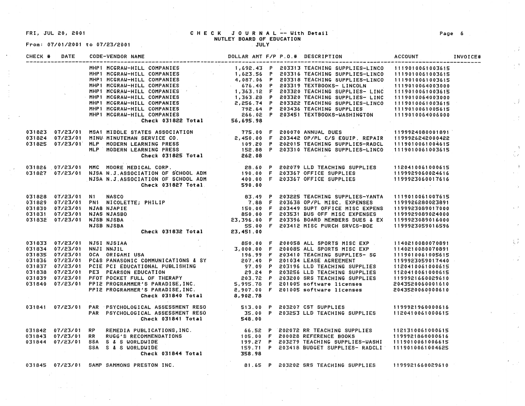$\mathbf{r}$ 

# From: 07/01/2001 to 07/23/2001

#### FRI, JUL 20, 2001 CHECK JOURNAL -- With Detail NUTLEY **BOARD** OF EDUCATION JULY

| CHECK # | DATE | CODE-VENDOR NAME                                                                                                                                                                                                                               |  | DOLLAR AMT F/P P.O.# DESCRIPTION                      | ACCOUNT INVOICE# |  |
|---------|------|------------------------------------------------------------------------------------------------------------------------------------------------------------------------------------------------------------------------------------------------|--|-------------------------------------------------------|------------------|--|
|         |      | 00 = VENDOR NAME<br>MHP1 MCGRAU-HILL COMPANIES<br>MHP1 MCGRAU-HILL COMPANIES<br>MHP1 MCGRAU-HILL COMPANIES<br>MHP1 MCGRAU-HILL COMPANIES<br>MHP1 MCGRAU-HILL COMPANIES<br>MHP1 MCGRAU-HILL COMPANIES<br>MHP1 MCGRAU-HILL COMPANIES<br>MHP1 MCG |  |                                                       |                  |  |
|         |      |                                                                                                                                                                                                                                                |  |                                                       |                  |  |
|         |      |                                                                                                                                                                                                                                                |  |                                                       |                  |  |
|         |      |                                                                                                                                                                                                                                                |  |                                                       |                  |  |
|         |      |                                                                                                                                                                                                                                                |  |                                                       |                  |  |
|         |      |                                                                                                                                                                                                                                                |  |                                                       |                  |  |
|         |      |                                                                                                                                                                                                                                                |  |                                                       |                  |  |
|         |      |                                                                                                                                                                                                                                                |  |                                                       |                  |  |
|         |      |                                                                                                                                                                                                                                                |  |                                                       |                  |  |
|         |      |                                                                                                                                                                                                                                                |  |                                                       |                  |  |
|         |      |                                                                                                                                                                                                                                                |  |                                                       |                  |  |
|         |      |                                                                                                                                                                                                                                                |  |                                                       |                  |  |
|         |      |                                                                                                                                                                                                                                                |  |                                                       |                  |  |
|         |      |                                                                                                                                                                                                                                                |  |                                                       |                  |  |
|         |      |                                                                                                                                                                                                                                                |  |                                                       |                  |  |
|         |      |                                                                                                                                                                                                                                                |  |                                                       |                  |  |
|         |      |                                                                                                                                                                                                                                                |  |                                                       |                  |  |
|         |      |                                                                                                                                                                                                                                                |  |                                                       |                  |  |
|         |      | 031823 07/23/01 MSA1 MIDDLE STATES ASSOCIATION<br>031824 07/23/01 MINU-MINUTEMAN SERVICE CO.<br>031825 07/23/01 MLP MODERN LEARNING PRESS<br>MLP MODERN LEARNING PRESS<br>CHECK 031825 TOtal<br>CHECK 031825 TOtal<br>CHECK 031827 DERIC C     |  |                                                       |                  |  |
|         |      |                                                                                                                                                                                                                                                |  |                                                       |                  |  |
|         |      |                                                                                                                                                                                                                                                |  |                                                       |                  |  |
|         |      |                                                                                                                                                                                                                                                |  |                                                       |                  |  |
|         |      |                                                                                                                                                                                                                                                |  |                                                       |                  |  |
|         |      |                                                                                                                                                                                                                                                |  |                                                       |                  |  |
|         |      |                                                                                                                                                                                                                                                |  |                                                       |                  |  |
|         |      | 031828 07/23/01 N1 NASCO<br>031829 07/23/01 PN1 NICOLETTE; PHILIP 33.49 P 203225 TEACHING SUPPLIES-YANTA 1119010061007615<br>031831 07/23/01 NJA8 NJAPIE<br>031831 07/23/01 NJA8 NJAPIE<br>031832 07/23/01 NJAS NJABBO<br>031832 07/23/0       |  |                                                       |                  |  |
|         |      | 431833 07/23/01 NNSI NJSIAA (1998)<br>031833 07/23/01 NNSI NJSIAA (1998)<br>031833 07/23/01 NNSI NJSIAA (1998)<br>031833 07/23/01 OCA ORIGANIL USA (1998)<br>031837 07/23/01 PCS PANASONIC COMMUNICATIONS & SY (199.09 F 20008S ALL SP         |  |                                                       |                  |  |
|         |      |                                                                                                                                                                                                                                                |  |                                                       |                  |  |
|         |      |                                                                                                                                                                                                                                                |  |                                                       |                  |  |
|         |      |                                                                                                                                                                                                                                                |  |                                                       |                  |  |
|         |      |                                                                                                                                                                                                                                                |  |                                                       |                  |  |
|         |      |                                                                                                                                                                                                                                                |  |                                                       |                  |  |
|         |      |                                                                                                                                                                                                                                                |  |                                                       |                  |  |
|         |      |                                                                                                                                                                                                                                                |  |                                                       |                  |  |
|         |      |                                                                                                                                                                                                                                                |  |                                                       |                  |  |
|         |      |                                                                                                                                                                                                                                                |  |                                                       |                  |  |
|         |      |                                                                                                                                                                                                                                                |  |                                                       |                  |  |
|         |      |                                                                                                                                                                                                                                                |  |                                                       |                  |  |
|         |      | 031841 07/23/01 PAR PSYCHOLOGICAL ASSESSMENT RESO            513.00 P 203207 CST SUPPLIES             1199921960000616<br>PAR PSYCHOLOGICAL ASSESSMENT RESO            35.00 P 203253 LLD TEACHING SUPPLIES      1120410061000615              |  |                                                       |                  |  |
|         |      | 031842 07/23/01 RP REMEDIA PUBLICATIONS,INC.                       66.52 P 202072 RR TEACHING SUPPLIES    1121310061000615<br>031843 07/23/01 RR RUGG'S RECOMMENDATIONS                   105.00 F 200028 REFERENCE BOOKS       1              |  |                                                       |                  |  |
|         |      |                                                                                                                                                                                                                                                |  |                                                       |                  |  |
|         |      |                                                                                                                                                                                                                                                |  |                                                       |                  |  |
|         |      |                                                                                                                                                                                                                                                |  |                                                       |                  |  |
|         |      |                                                                                                                                                                                                                                                |  |                                                       |                  |  |
|         |      | 031845 07/23/01 SAMP SAMMONS PRESTON INC.                                                                                                                                                                                                      |  | 81.65 P 203202 SRS TEACHING SUPPLIES 1199921660029610 |                  |  |
|         |      |                                                                                                                                                                                                                                                |  |                                                       |                  |  |

**Page** 6

"( *j* 

 $\frac{1}{2}$ 

 $\chi=1$ 

 $\sim$   $\chi$ 

 $\sqrt{f}$ 

 $\frac{1}{2}$ 

 $\mathcal{L}(\mathcal{F})$  $\Delta$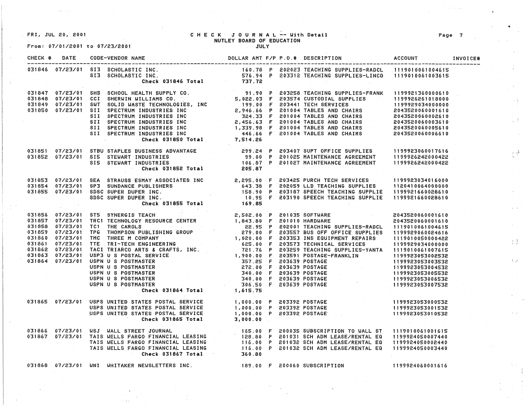FRI, JUL 20, 2001 CHECK JOURNAL -- With Detail NUTLEY BOARD OF EDUCATION

From: 07/01/2001 to 07/23/2001 JULY

|  | 031846 07/23/01 SI3 SCHOLASTIC INC.<br>031846 07/23/01 SI3 SCHOLASTIC INC. 160.78 P 202023 TEACHING SUPPLIES-RADCL 1119010061004615<br>613 SCHOLASTIC INC. 576.94 P 203312 TEACHING SUPPLIES-LINCO 1119010061003615<br>Check 031846 Tot |  |  |  |  |
|--|-----------------------------------------------------------------------------------------------------------------------------------------------------------------------------------------------------------------------------------------|--|--|--|--|
|  | 031847 07/23/01 SHS SCHOOL HEALTH SUPPLY CO.<br>031848 07/23/01 CCI SHERWIN WILLIAMS CO.<br>031849 07/23/01 SWI SOLID WASTE TECHNOLOGIES, INC<br>031849 07/23/01 SWI SOLID WASTE TECHNOLOGIES, INC<br>031850 07/23/01 SII SPECTRUM IND  |  |  |  |  |
|  | 031851 07/23/01 STBU STAPLES BUSINESS ADVANTAGE 299.24 P 203407 SUPT OFFICE SUPPLIES 1199923060017616<br>031852 07/23/01 SI5 STEWART INDUSTRIES 99.00 P 201025 MAINTENANCE AGREEMENT 1199926242000422<br>Check 031852 Total 205.87 P    |  |  |  |  |
|  | 031853 07/23/01 SEA STRAUSS ESMAY ASSOCIATES INC<br>031854 07/23/01 SP3 SUNDANCE PUBLISHERS 643.38 F 202059 LLD TEACHING SUPPLIES 1120410064000000<br>031855 07/23/01 SDSC SUPER DUPER INC. 158.90 P 203187 SPEECH TEACHING SUPPLIE     |  |  |  |  |
|  | 031855 07/23/01 STS SYNERGIS TOTAL 169.85<br>031857 07/23/01 STS SYNERGIS TRACH 201855 TOTAL 169.85<br>031857 07/23/01 TRC1 TECHNOLOGY RESOURCE CENTER<br>031858 07/23/01 TRC THOMPSON PUBLISHING GROUP<br>031859 07/23/01 TRC TRIANCO  |  |  |  |  |
|  | 031865 07/23/01 USPS UNITED STATES POSTAL SERVICE (1,000.00 P 203392 POSTAGE (199923053000532<br>USPS UNITED STATES POSTAL SERVICE (1,000.00 P 203392 POSTAGE (199923053001532<br>USPS UNITED STATES POSTAL SERVICE (1,000.00 P 2033    |  |  |  |  |
|  | 031866 07/23/01 USJ WALL STREET JOURNAL (EASING 165.00 F 200035 SUBSCRIPTION TO WALL ST 1119010061001615<br>031867 07/23/01 TAIS WELLS FARGO FINANCIAL LEASING 128.80 P 201031 SCH ADM LEASE/RENTAL EQ 1199924050007440<br>TAIS WELL    |  |  |  |  |
|  | 031868 07/23/01 WNI WHITAKER NEWSLETTERS INC. 489.00 F 200060 SUBSCRIPTION 1199924060001616                                                                                                                                             |  |  |  |  |

不等

小子

 $\mathcal{L}^{\mathcal{A}}$ 

 $\{ \cdot \}$ 

 $\lambda(\omega)$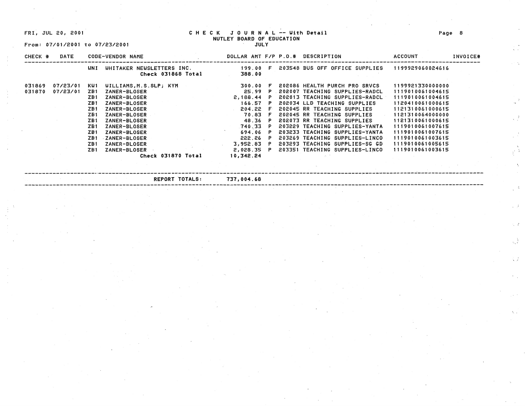FRI; JUL 20, 2001

From: 07/01/2001 to 07/23/2001

#### CHECK JOURNAL -- With Detail NUTLEY BOARD OF EDUCATION

JULY

| CHECK # | DATE     |            | CODE-VENDOR NAME                                |              |  | DOLLAR AMT F/P P.O.# DESCRIPTION          | ACCOUNT          | INVOICE# |
|---------|----------|------------|-------------------------------------------------|--------------|--|-------------------------------------------|------------------|----------|
|         |          | WNI        | UHITAKER NEUSLETTERS INC.<br>Check 031868 Total | 388.00       |  | 199.00 F 203548 BUS OFF OFFICE SUPPLIES   | 1199929060024616 |          |
| 031869  | 07/23/01 | KW 1       | WILLIAMS, M.S.SLP; KYM                          | 300.00 F     |  | 202086 HEALTH PURCH PRO SRVCS             | 1199921330000000 |          |
| 031870  | 07/23/01 | ZB 1       | ZANER-BLOSER                                    | 25.99 P      |  | 202007 TEACHING SUPPLIES-RADCL            | 1119010061004615 |          |
|         |          | ZB1        | <b>ZANER-BLOSER</b>                             | $2,188.44$ P |  | 202013 TEACHING SUPPLIES-RADCL            | 1119010061004615 |          |
|         |          | ZB1        | ZANER-BLOSER                                    | 166.57 P     |  | 202034 LLD TEACHING SUPPLIES              | 1120410061000615 |          |
|         |          | <b>ZB1</b> | <b>ZANER-BLOSER</b>                             | 204.22 F     |  | 202045 RR TEACHING SUPPLIES               | 1121310061000615 |          |
|         |          | ZB 1       | ZANER-BLOSER                                    | 70.83 F      |  | 202045 RR TEACHING SUPPLIES               | 1121310064000000 |          |
|         |          | ZB 1       | ZANER-BLOSER                                    | 48.36 P      |  | 202073 RR TEACHING SUPPLIES               | 1121310061000615 |          |
|         |          | ZB1        | ZANER-BLOSER                                    | 740.33 P     |  | 203229 TEACHING SUPPLIES-YANTA            | 1119010061007615 |          |
|         |          | ZB I       | ZANER-BLOSER                                    | 694.06 P     |  | 203233 TEACHING SUPPLIES-YANTA            | 1119010061007615 |          |
|         |          | ZB1        | <b>ZANER-BLOSER</b>                             | 222.26 P     |  | 203269 TEACHING SUPPLIES-LINCO            | 1119010061003615 |          |
|         |          | ZB1        | ZANER-BLOSER                                    |              |  | 3,952.83 P 203293 TEACHING SUPPLIES-SG GD | 1119010061005615 |          |
|         |          | ZB1        | ZANER-BLOSER                                    |              |  | 2,028.35 P 203351 TEACHING SUPPLIES-LINCO | 1119010061003615 |          |
|         |          |            | Check 031870 Total                              | 10,342.24    |  |                                           |                  |          |
|         |          |            |                                                 |              |  |                                           |                  |          |

---------------------·-------.-----------------------------------------------------------------------------------·------------------- **REPORT TOTALS: 737,00.ll.68** 

Page 8

 $\chi^{\Lambda}$ 

 $\Lambda$ 

 $\frac{1}{3}$  ,  $\frac{1}{3}$  ,

 $\sim 0.3$ 

 $\gamma \in \mathbb{Z}$ 

 $\mathbb{R}^3$ 

安定